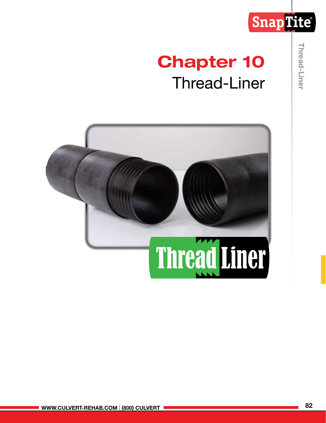# SnapTite®

# Chapter 10 Thread-Liner

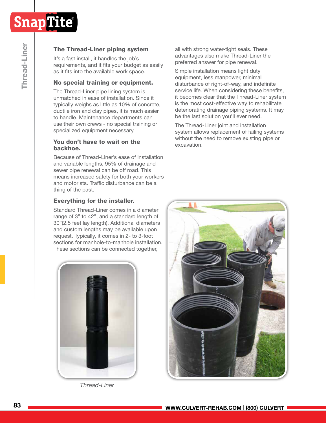

# The Thread-Liner piping system

It's a fast install, it handles the job's requirements, and it fits your budget as easily as it fits into the available work space.

# No special training or equipment.

The Thread-Liner pipe lining system is unmatched in ease of installation. Since it typically weighs as little as 10% of concrete, ductile iron and clay pipes, it is much easier to handle. Maintenance departments can use their own crews - no special training or specialized equipment necessary.

#### You don't have to wait on the backhoe.

Because of Thread-Liner's ease of installation and variable lengths, 95% of drainage and sewer pipe renewal can be off road. This means increased safety for both your workers and motorists. Traffic disturbance can be a thing of the past.

### Everything for the installer.

Standard Thread-Liner comes in a diameter range of 3" to 42", and a standard length of 30"(2.5 feet lay length). Additional diameters and custom lengths may be available upon request. Typically, it comes in 2- to 3-foot sections for manhole-to-manhole installation. These sections can be connected together,



*Thread-Liner*

all with strong water-tight seals. These advantages also make Thread-Liner the preferred answer for pipe renewal.

Simple installation means light duty equipment, less manpower, minimal disturbance of right-of-way, and indefinite service life. When considering these benefits, it becomes clear that the Thread-Liner system is the most cost-effective way to rehabilitate deteriorating drainage piping systems. It may be the last solution you'll ever need.

The Thread-Liner joint and installation system allows replacement of failing systems without the need to remove existing pipe or excavation.